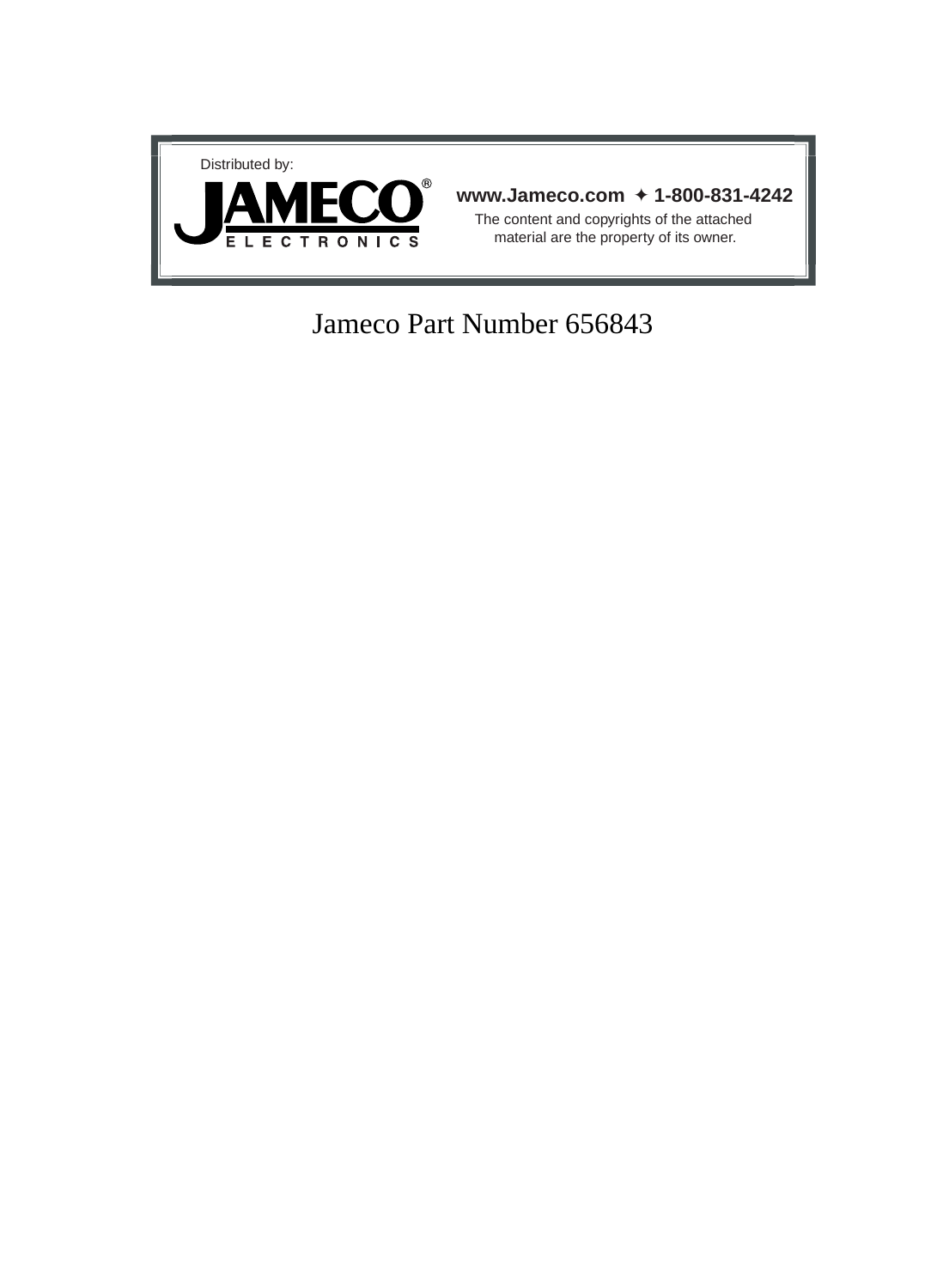

# Jameco Part Number 656843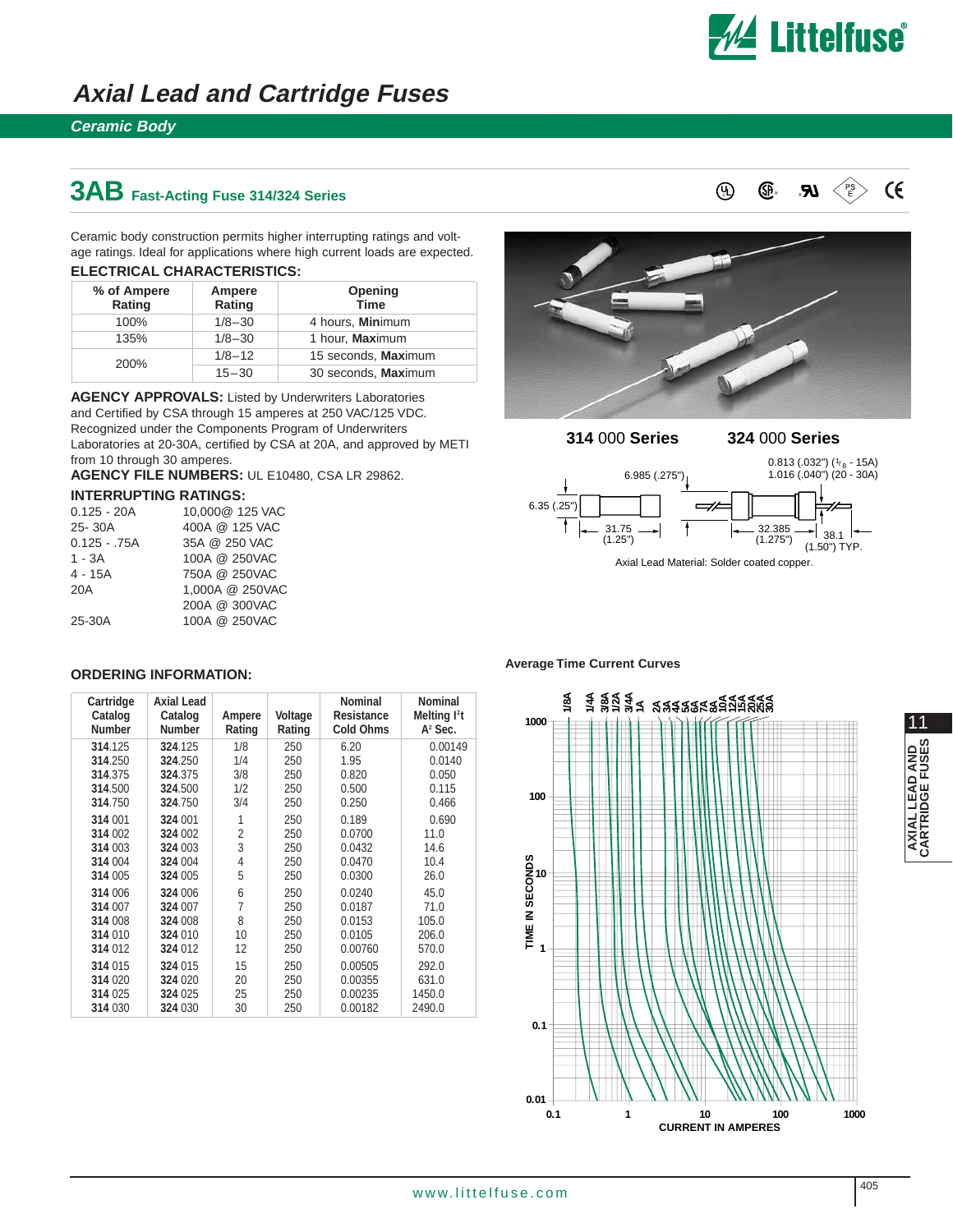

**UL** ® ®

 $\epsilon$ 

### **Axial Lead and Cartridge Fuses**

### **Ceramic Body**

## **3AB Fast-Acting Fuse 314/324 Series**

Ceramic body construction permits higher interrupting ratings and voltage ratings. Ideal for applications where high current loads are expected.

| ELECTRICAL CHARACTERISTICS: |
|-----------------------------|
|-----------------------------|

| % of Ampere<br>Rating | Ampere<br>Rating | Opening<br><b>Time</b> |
|-----------------------|------------------|------------------------|
| 100%                  | $1/8 - 30$       | 4 hours, Minimum       |
| 135%                  | $1/8 - 30$       | 1 hour, Maximum        |
| 200%                  | $1/8 - 12$       | 15 seconds, Maximum    |
|                       | $15 - 30$        | 30 seconds, Maximum    |

**AGENCY APPROVALS:** Listed by Underwriters Laboratories and Certified by CSA through 15 amperes at 250 VAC/125 VDC. Recognized under the Components Program of Underwriters Laboratories at 20-30A, certified by CSA at 20A, and approved by METI from 10 through 30 amperes.

**AGENCY FILE NUMBERS:** UL E10480, CSA LR 29862.

#### **INTERRUPTING RATINGS:**

| $0.125 - 20A$  | 10,000@ 125 VAC |
|----------------|-----------------|
| 25-30A         | 400A @ 125 VAC  |
| $0.125 - .75A$ | 35A @ 250 VAC   |
| $1 - 3A$       | 100A @ 250VAC   |
| 4 - 15A        | 750A @ 250VAC   |
| 20A            | 1.000A @ 250VAC |
|                | 200A @ 300VAC   |
| 25-30A         | 100A @ 250VAC   |



®

#### **314** 000 **Series 324** 000 **Series**



#### **ORDERING INFORMATION:**

| Cartridge<br>Catalog<br><b>Number</b> | <b>Axial Lead</b><br>Catalog<br><b>Number</b> | Ampere<br>Rating | Voltage<br>Rating | Nominal<br><b>Resistance</b><br><b>Cold Ohms</b> | Nominal<br>Melting l <sup>2</sup> t<br>$A2$ Sec. |
|---------------------------------------|-----------------------------------------------|------------------|-------------------|--------------------------------------------------|--------------------------------------------------|
| 314.125                               | 324.125                                       | 1/8              | 250               | 6.20                                             | 0.00149                                          |
| 314.250                               | 324.250                                       | 1/4              | 250               | 1.95                                             | 0.0140                                           |
| 314.375                               | 324.375                                       | 3/8              | 250               | 0.820                                            | 0.050                                            |
| 314.500                               | 324.500                                       | 1/2              | 250               | 0.500                                            | 0.115                                            |
| 314.750                               | 324.750                                       | 3/4              | 250               | 0.250                                            | 0.466                                            |
| 314 001                               | 324 001                                       | 1                | 250               | 0.189                                            | 0.690                                            |
| 314 002                               | 324 002                                       | $\overline{2}$   | 250               | 0.0700                                           | 11.0                                             |
| 314 003                               | 324 003                                       | 3                | 250               | 0.0432                                           | 14.6                                             |
| 314 004                               | 324 004                                       | 4                | 250               | 0.0470                                           | 10.4                                             |
| 314 005                               | 324 005                                       | 5                | 250               | 0.0300                                           | 26.0                                             |
| 314 006                               | 324 006                                       | 6                | 250               | 0.0240                                           | 45.0                                             |
| 314 007                               | 324 007                                       | $\overline{7}$   | 250               | 0.0187                                           | 71.0                                             |
| 314 008                               | 324 008                                       | 8                | 250               | 0.0153                                           | 105.0                                            |
| 314 010                               | 324 010                                       | 10               | 250               | 0.0105                                           | 206.0                                            |
| 314 012                               | 324 012                                       | 12               | 250               | 0.00760                                          | 570.0                                            |
| 314 015                               | 324 015                                       | 15               | 250               | 0.00505                                          | 292.0                                            |
| 314 020                               | 324 020                                       | 20               | 250               | 0.00355                                          | 631.0                                            |
| 314 025                               | 324 025                                       | 25               | 250               | 0.00235                                          | 1450.0                                           |
| 314 030                               | 324 030                                       | 30               | 250               | 0.00182                                          | 2490.0                                           |

#### **Average Time Current Curves**